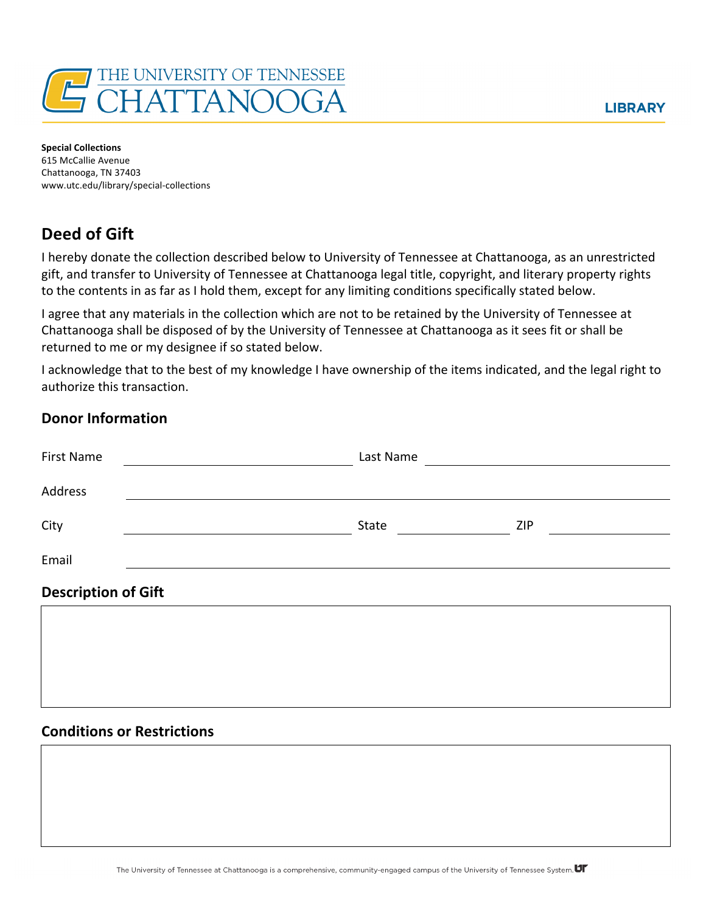

**Special Collections** 615 McCallie Avenue Chattanooga, TN 37403 www.utc.edu/library/special-collections

# **Deed of Gift**

I hereby donate the collection described below to University of Tennessee at Chattanooga, as an unrestricted gift, and transfer to University of Tennessee at Chattanooga legal title, copyright, and literary property rights to the contents in as far as I hold them, except for any limiting conditions specifically stated below.

I agree that any materials in the collection which are not to be retained by the University of Tennessee at Chattanooga shall be disposed of by the University of Tennessee at Chattanooga as it sees fit or shall be returned to me or my designee if so stated below.

I acknowledge that to the best of my knowledge I have ownership of the items indicated, and the legal right to authorize this transaction.

### **Donor Information**

| <b>First Name</b>          | Last Name |     |
|----------------------------|-----------|-----|
| Address                    |           |     |
| City                       | State     | ZIP |
| Email                      |           |     |
| <b>Description of Gift</b> |           |     |
|                            |           |     |
|                            |           |     |
|                            |           |     |

### **Conditions or Restrictions**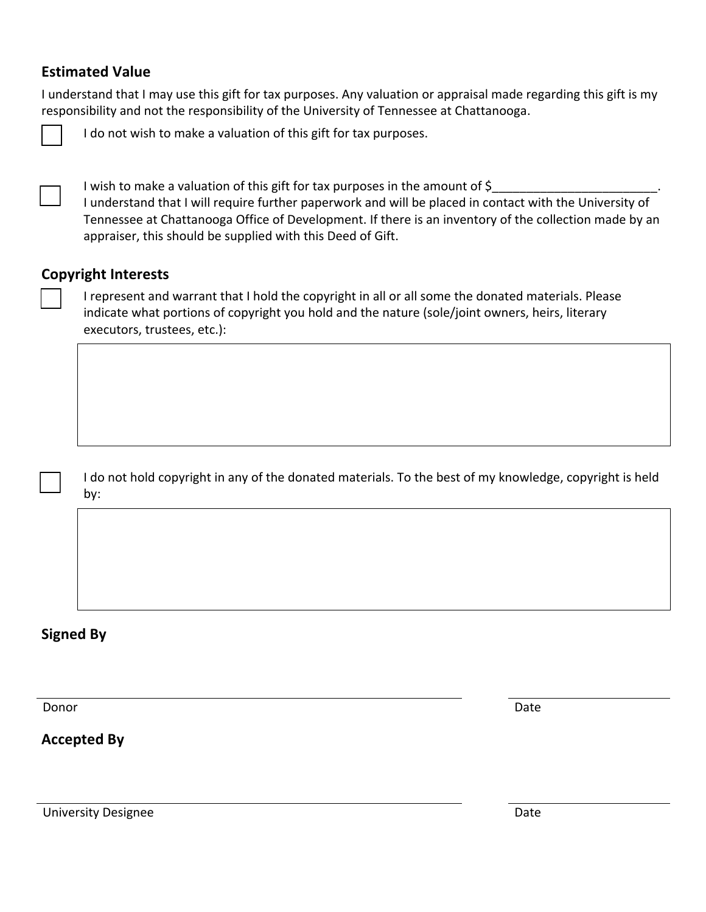## **Estimated Value**

I understand that I may use this gift for tax purposes. Any valuation or appraisal made regarding this gift is my responsibility and not the responsibility of the University of Tennessee at Chattanooga.



I do not wish to make a valuation of this gift for tax purposes.

── I wish to make a valuation of this gift for tax purposes in the amount of \$\_\_\_\_\_\_\_\_\_\_\_\_\_\_\_\_\_\_\_\_\_\_\_\_\_\_\_\_\_\_\_\_.<br>□ I understand that I will require further paperwork and will be placed in contact with the University of Tennessee at Chattanooga Office of Development. If there is an inventory of the collection made by an appraiser, this should be supplied with this Deed of Gift.

### **Copyright Interests**

I represent and warrant that I hold the copyright in all or all some the donated materials. Please indicate what portions of copyright you hold and the nature (sole/joint owners, heirs, literary executors, trustees, etc.):

I do not hold copyright in any of the donated materials. To the best of my knowledge, copyright is held by:

## **Signed By**

Donor Donor Date Communication of the Communication of the Communication of the Date Date

**Accepted By**

University Designee **Date**